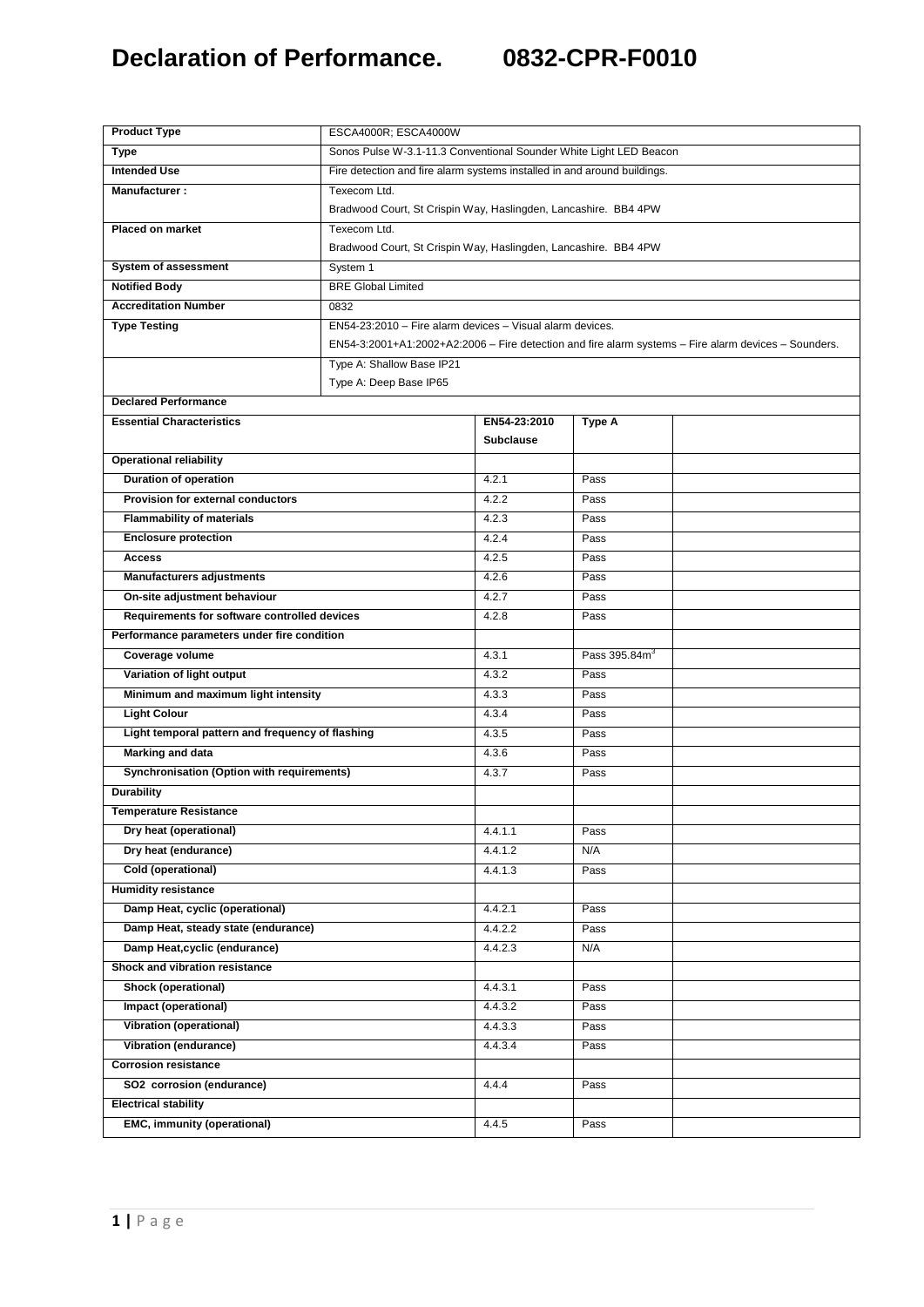| <b>Product Type</b>                                                      | ESCA4000R; ESCA4000W                                                                                 |                                                                    |                           |  |  |  |
|--------------------------------------------------------------------------|------------------------------------------------------------------------------------------------------|--------------------------------------------------------------------|---------------------------|--|--|--|
| <b>Type</b>                                                              |                                                                                                      | Sonos Pulse W-3.1-11.3 Conventional Sounder White Light LED Beacon |                           |  |  |  |
| <b>Intended Use</b>                                                      | Fire detection and fire alarm systems installed in and around buildings.                             |                                                                    |                           |  |  |  |
| Manufacturer:                                                            | Texecom Ltd.                                                                                         |                                                                    |                           |  |  |  |
|                                                                          |                                                                                                      | Bradwood Court, St Crispin Way, Haslingden, Lancashire. BB4 4PW    |                           |  |  |  |
| Placed on market                                                         | Texecom Ltd.                                                                                         |                                                                    |                           |  |  |  |
|                                                                          |                                                                                                      | Bradwood Court, St Crispin Way, Haslingden, Lancashire. BB4 4PW    |                           |  |  |  |
| System of assessment                                                     | System 1                                                                                             |                                                                    |                           |  |  |  |
| <b>Notified Body</b>                                                     | <b>BRE Global Limited</b>                                                                            |                                                                    |                           |  |  |  |
| <b>Accreditation Number</b>                                              | 0832                                                                                                 |                                                                    |                           |  |  |  |
| <b>Type Testing</b>                                                      | EN54-23:2010 - Fire alarm devices - Visual alarm devices.                                            |                                                                    |                           |  |  |  |
|                                                                          | EN54-3:2001+A1:2002+A2:2006 - Fire detection and fire alarm systems - Fire alarm devices - Sounders. |                                                                    |                           |  |  |  |
|                                                                          | Type A: Shallow Base IP21                                                                            |                                                                    |                           |  |  |  |
|                                                                          | Type A: Deep Base IP65                                                                               |                                                                    |                           |  |  |  |
| <b>Declared Performance</b>                                              |                                                                                                      |                                                                    |                           |  |  |  |
| <b>Essential Characteristics</b>                                         |                                                                                                      | EN54-23:2010<br><b>Subclause</b>                                   | <b>Type A</b>             |  |  |  |
| <b>Operational reliability</b>                                           |                                                                                                      |                                                                    |                           |  |  |  |
|                                                                          |                                                                                                      | 4.2.1                                                              | Pass                      |  |  |  |
| <b>Duration of operation</b><br><b>Provision for external conductors</b> |                                                                                                      | 4.2.2                                                              | Pass                      |  |  |  |
| <b>Flammability of materials</b>                                         |                                                                                                      | 4.2.3                                                              | Pass                      |  |  |  |
| <b>Enclosure protection</b>                                              |                                                                                                      | 4.2.4                                                              | Pass                      |  |  |  |
| <b>Access</b>                                                            |                                                                                                      | 4.2.5                                                              | Pass                      |  |  |  |
|                                                                          |                                                                                                      | 4.2.6                                                              | Pass                      |  |  |  |
| <b>Manufacturers adjustments</b><br>On-site adjustment behaviour         |                                                                                                      | 4.2.7                                                              | Pass                      |  |  |  |
| Requirements for software controlled devices                             |                                                                                                      | 4.2.8                                                              | Pass                      |  |  |  |
| Performance parameters under fire condition                              |                                                                                                      |                                                                    |                           |  |  |  |
| Coverage volume                                                          |                                                                                                      | 4.3.1                                                              | Pass 395.84m <sup>3</sup> |  |  |  |
| Variation of light output                                                |                                                                                                      | 4.3.2                                                              | Pass                      |  |  |  |
| Minimum and maximum light intensity                                      |                                                                                                      | 4.3.3                                                              | Pass                      |  |  |  |
| <b>Light Colour</b>                                                      |                                                                                                      | 4.3.4                                                              | Pass                      |  |  |  |
| Light temporal pattern and frequency of flashing                         |                                                                                                      | 4.3.5                                                              | Pass                      |  |  |  |
| <b>Marking and data</b>                                                  |                                                                                                      | 4.3.6                                                              | Pass                      |  |  |  |
| Synchronisation (Option with requirements)                               |                                                                                                      | 4.3.7                                                              | Pass                      |  |  |  |
| <b>Durability</b>                                                        |                                                                                                      |                                                                    |                           |  |  |  |
| <b>Temperature Resistance</b>                                            |                                                                                                      |                                                                    |                           |  |  |  |
| Dry heat (operational)                                                   |                                                                                                      | 4.4.1.1                                                            | Pass                      |  |  |  |
| Dry heat (endurance)                                                     |                                                                                                      | 4.4.1.2                                                            | N/A                       |  |  |  |
| Cold (operational)                                                       |                                                                                                      | 4.4.1.3                                                            | Pass                      |  |  |  |
| <b>Humidity resistance</b>                                               |                                                                                                      |                                                                    |                           |  |  |  |
| Damp Heat, cyclic (operational)                                          |                                                                                                      | 4.4.2.1                                                            | Pass                      |  |  |  |
| Damp Heat, steady state (endurance)                                      |                                                                                                      | 4.4.2.2                                                            | Pass                      |  |  |  |
| Damp Heat, cyclic (endurance)                                            |                                                                                                      | 4.4.2.3                                                            | N/A                       |  |  |  |
| Shock and vibration resistance                                           |                                                                                                      |                                                                    |                           |  |  |  |
| Shock (operational)                                                      |                                                                                                      | 4.4.3.1                                                            | Pass                      |  |  |  |
| Impact (operational)                                                     |                                                                                                      | 4.4.3.2                                                            | Pass                      |  |  |  |
| <b>Vibration (operational)</b>                                           |                                                                                                      | 4.4.3.3                                                            | Pass                      |  |  |  |
| Vibration (endurance)                                                    |                                                                                                      | 4.4.3.4                                                            | Pass                      |  |  |  |
| <b>Corrosion resistance</b>                                              |                                                                                                      |                                                                    |                           |  |  |  |
| SO2 corrosion (endurance)                                                |                                                                                                      | 4.4.4                                                              | Pass                      |  |  |  |
| <b>Electrical stability</b>                                              |                                                                                                      |                                                                    |                           |  |  |  |
| <b>EMC, immunity (operational)</b>                                       |                                                                                                      | 4.4.5                                                              | Pass                      |  |  |  |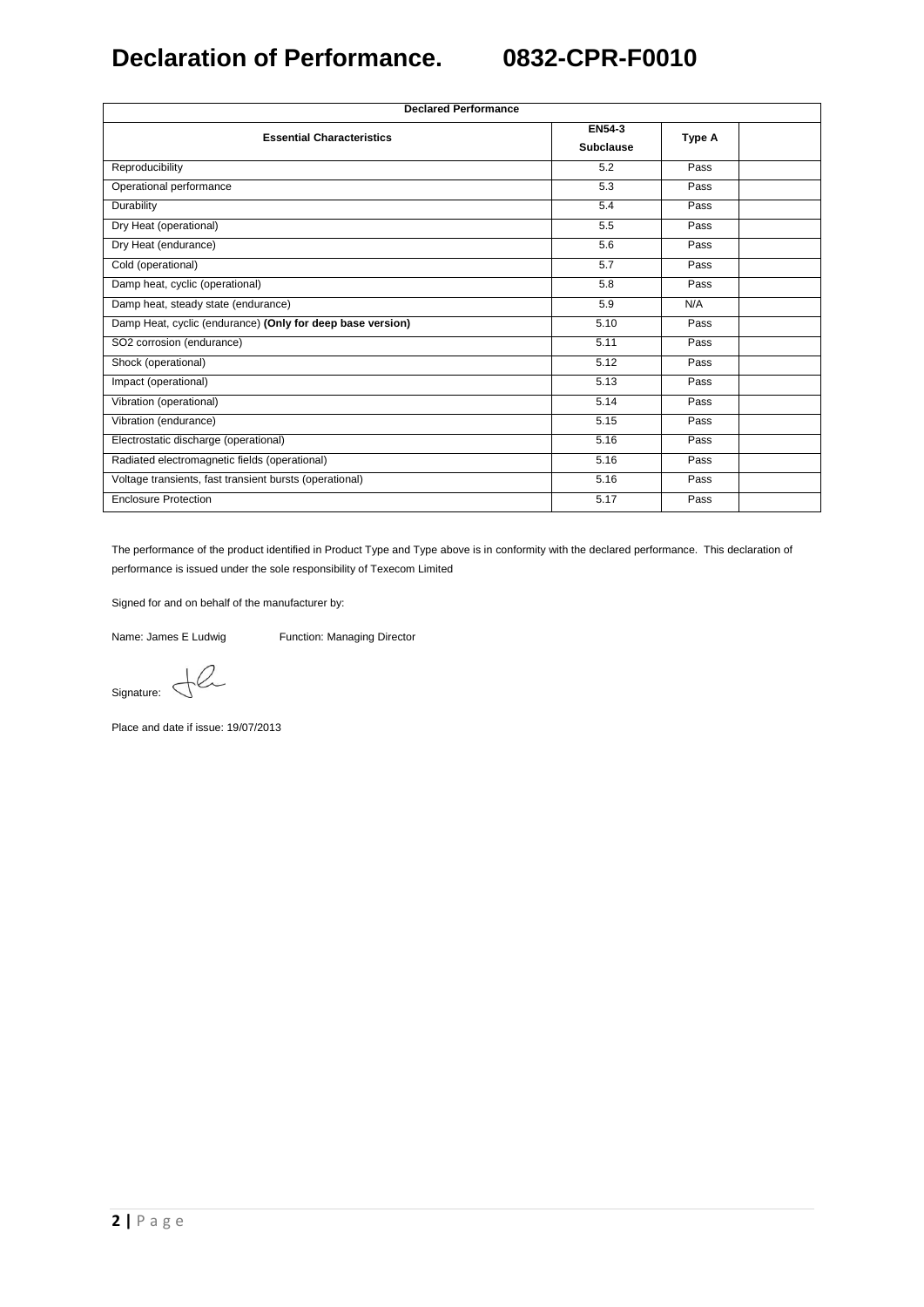| <b>Declared Performance</b>                                |                                   |        |  |  |
|------------------------------------------------------------|-----------------------------------|--------|--|--|
| <b>Essential Characteristics</b>                           | <b>EN54-3</b><br><b>Subclause</b> | Type A |  |  |
| Reproducibility                                            | 5.2                               | Pass   |  |  |
| Operational performance                                    | 5.3                               | Pass   |  |  |
| Durability                                                 | 5.4                               | Pass   |  |  |
| Dry Heat (operational)                                     | 5.5                               | Pass   |  |  |
| Dry Heat (endurance)                                       | 5.6                               | Pass   |  |  |
| Cold (operational)                                         | 5.7                               | Pass   |  |  |
| Damp heat, cyclic (operational)                            | 5.8                               | Pass   |  |  |
| Damp heat, steady state (endurance)                        | 5.9                               | N/A    |  |  |
| Damp Heat, cyclic (endurance) (Only for deep base version) | 5.10                              | Pass   |  |  |
| SO2 corrosion (endurance)                                  | 5.11                              | Pass   |  |  |
| Shock (operational)                                        | 5.12                              | Pass   |  |  |
| Impact (operational)                                       | 5.13                              | Pass   |  |  |
| Vibration (operational)                                    | 5.14                              | Pass   |  |  |
| Vibration (endurance)                                      | 5.15                              | Pass   |  |  |
| Electrostatic discharge (operational)                      | 5.16                              | Pass   |  |  |
| Radiated electromagnetic fields (operational)              | 5.16                              | Pass   |  |  |
| Voltage transients, fast transient bursts (operational)    | 5.16                              | Pass   |  |  |
| <b>Enclosure Protection</b>                                | 5.17                              | Pass   |  |  |

The performance of the product identified in Product Type and Type above is in conformity with the declared performance. This declaration of performance is issued under the sole responsibility of Texecom Limited

Signed for and on behalf of the manufacturer by:

Name: James E Ludwig Function: Managing Director

 $Signature: \ \bigoplus \mathcal{C}$ 

Place and date if issue: 19/07/2013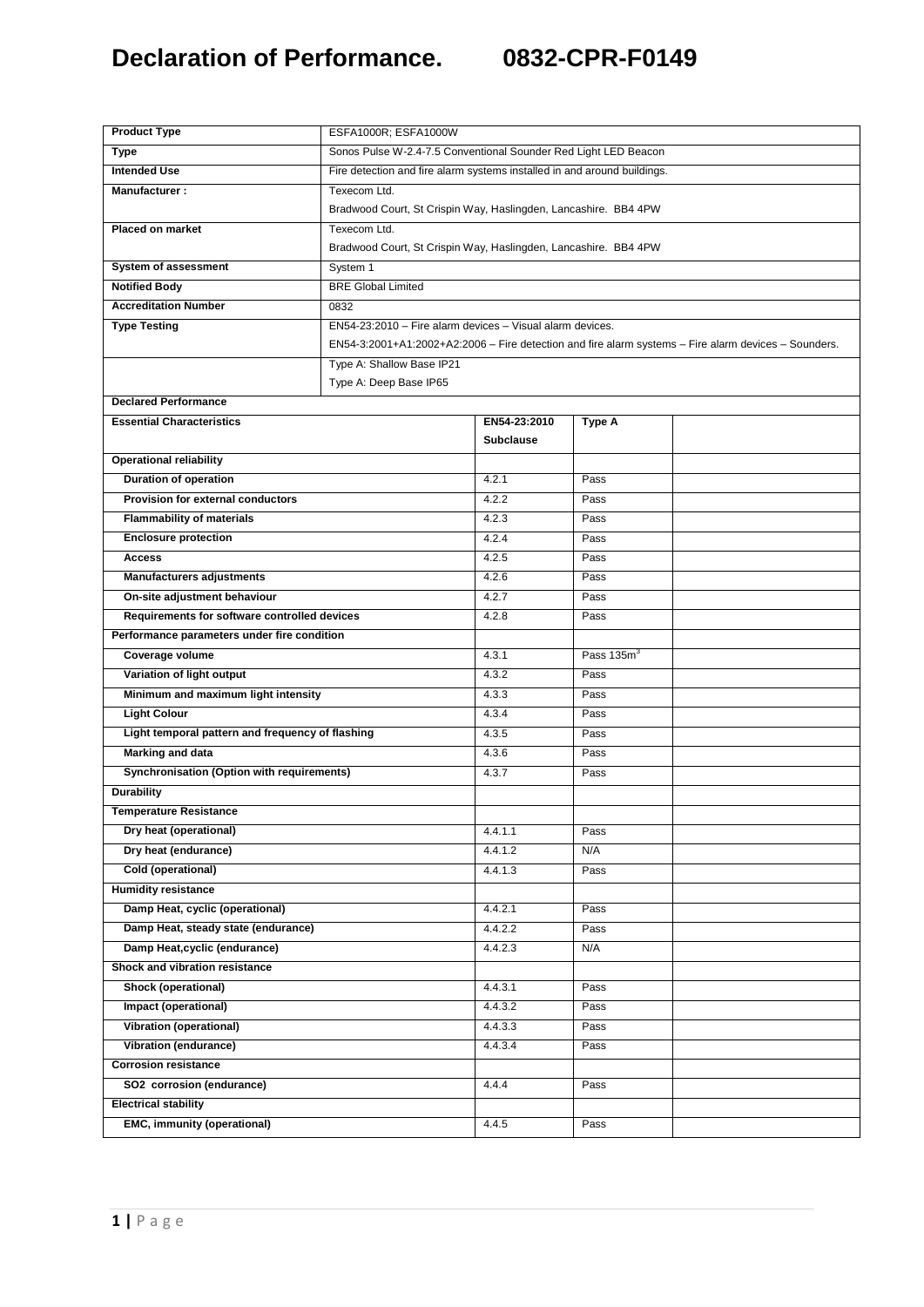| <b>Product Type</b>                              |                                                                                                      |                                                                                         |                        |  |  |
|--------------------------------------------------|------------------------------------------------------------------------------------------------------|-----------------------------------------------------------------------------------------|------------------------|--|--|
|                                                  |                                                                                                      | ESFA1000R; ESFA1000W<br>Sonos Pulse W-2.4-7.5 Conventional Sounder Red Light LED Beacon |                        |  |  |
| <b>Type</b><br><b>Intended Use</b>               |                                                                                                      |                                                                                         |                        |  |  |
|                                                  |                                                                                                      | Fire detection and fire alarm systems installed in and around buildings.                |                        |  |  |
| Manufacturer:                                    | Texecom Ltd.<br>Bradwood Court, St Crispin Way, Haslingden, Lancashire. BB4 4PW                      |                                                                                         |                        |  |  |
| <b>Placed on market</b>                          | Texecom Ltd.                                                                                         |                                                                                         |                        |  |  |
|                                                  |                                                                                                      | Bradwood Court, St Crispin Way, Haslingden, Lancashire. BB4 4PW                         |                        |  |  |
| System of assessment                             | System 1                                                                                             |                                                                                         |                        |  |  |
| <b>Notified Body</b>                             | <b>BRE Global Limited</b>                                                                            |                                                                                         |                        |  |  |
| <b>Accreditation Number</b>                      | 0832                                                                                                 |                                                                                         |                        |  |  |
| <b>Type Testing</b>                              | EN54-23:2010 - Fire alarm devices - Visual alarm devices.                                            |                                                                                         |                        |  |  |
|                                                  | EN54-3:2001+A1:2002+A2:2006 - Fire detection and fire alarm systems - Fire alarm devices - Sounders. |                                                                                         |                        |  |  |
|                                                  | Type A: Shallow Base IP21                                                                            |                                                                                         |                        |  |  |
|                                                  | Type A: Deep Base IP65                                                                               |                                                                                         |                        |  |  |
| <b>Declared Performance</b>                      |                                                                                                      |                                                                                         |                        |  |  |
| <b>Essential Characteristics</b>                 |                                                                                                      | EN54-23:2010                                                                            | <b>Type A</b>          |  |  |
|                                                  |                                                                                                      | <b>Subclause</b>                                                                        |                        |  |  |
| <b>Operational reliability</b>                   |                                                                                                      |                                                                                         |                        |  |  |
| <b>Duration of operation</b>                     |                                                                                                      | 4.2.1                                                                                   | Pass                   |  |  |
| Provision for external conductors                |                                                                                                      | 4.2.2                                                                                   | Pass                   |  |  |
| <b>Flammability of materials</b>                 |                                                                                                      | 4.2.3                                                                                   | Pass                   |  |  |
| <b>Enclosure protection</b>                      |                                                                                                      | 4.2.4                                                                                   | Pass                   |  |  |
| <b>Access</b>                                    |                                                                                                      | 4.2.5                                                                                   | Pass                   |  |  |
| <b>Manufacturers adjustments</b>                 |                                                                                                      | 4.2.6                                                                                   | Pass                   |  |  |
| On-site adjustment behaviour                     |                                                                                                      | 4.2.7                                                                                   | Pass                   |  |  |
| Requirements for software controlled devices     |                                                                                                      | 4.2.8                                                                                   | Pass                   |  |  |
| Performance parameters under fire condition      |                                                                                                      |                                                                                         |                        |  |  |
| Coverage volume                                  |                                                                                                      | 4.3.1                                                                                   | Pass 135m <sup>3</sup> |  |  |
| Variation of light output                        |                                                                                                      | 4.3.2                                                                                   | Pass                   |  |  |
| Minimum and maximum light intensity              |                                                                                                      | 4.3.3                                                                                   | Pass                   |  |  |
| <b>Light Colour</b>                              |                                                                                                      | 4.3.4                                                                                   | Pass                   |  |  |
| Light temporal pattern and frequency of flashing |                                                                                                      | 4.3.5                                                                                   | Pass                   |  |  |
| <b>Marking and data</b>                          |                                                                                                      | 4.3.6                                                                                   | Pass                   |  |  |
| Synchronisation (Option with requirements)       |                                                                                                      | 4.3.7                                                                                   | Pass                   |  |  |
| <b>Durability</b>                                |                                                                                                      |                                                                                         |                        |  |  |
| <b>Temperature Resistance</b>                    |                                                                                                      |                                                                                         |                        |  |  |
| Dry heat (operational)                           |                                                                                                      | 4.4.1.1                                                                                 | Pass                   |  |  |
| Dry heat (endurance)                             |                                                                                                      | 4.4.1.2                                                                                 | N/A                    |  |  |
| Cold (operational)                               |                                                                                                      | 4.4.1.3                                                                                 | Pass                   |  |  |
| <b>Humidity resistance</b>                       |                                                                                                      |                                                                                         |                        |  |  |
| Damp Heat, cyclic (operational)                  |                                                                                                      | 4.4.2.1                                                                                 | Pass                   |  |  |
| Damp Heat, steady state (endurance)              |                                                                                                      | 4.4.2.2                                                                                 | Pass                   |  |  |
| Damp Heat, cyclic (endurance)                    |                                                                                                      | 4.4.2.3                                                                                 | N/A                    |  |  |
| Shock and vibration resistance                   |                                                                                                      |                                                                                         |                        |  |  |
| Shock (operational)                              |                                                                                                      | 4.4.3.1                                                                                 | Pass                   |  |  |
| Impact (operational)                             |                                                                                                      | 4.4.3.2                                                                                 | Pass                   |  |  |
| <b>Vibration (operational)</b>                   |                                                                                                      | 4.4.3.3                                                                                 | Pass                   |  |  |
| <b>Vibration (endurance)</b>                     |                                                                                                      | 4.4.3.4                                                                                 | Pass                   |  |  |
| <b>Corrosion resistance</b>                      |                                                                                                      |                                                                                         |                        |  |  |
| SO2 corrosion (endurance)                        |                                                                                                      | 4.4.4                                                                                   | Pass                   |  |  |
| <b>Electrical stability</b>                      |                                                                                                      |                                                                                         |                        |  |  |
| <b>EMC, immunity (operational)</b>               |                                                                                                      | 4.4.5                                                                                   | Pass                   |  |  |
|                                                  |                                                                                                      |                                                                                         |                        |  |  |